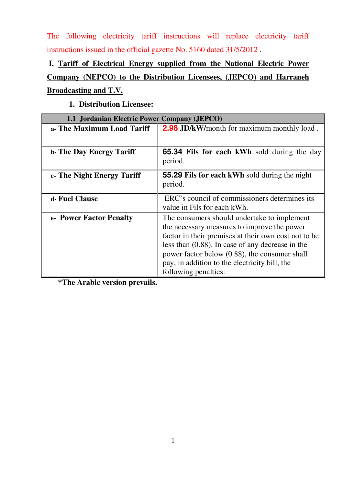The following electricity tariff instructions will replace electricity tariff instructions issued in the official gazette No. 5160 dated 31/5/2012 .

# **I. Tariff of Electrical Energy supplied from the National Electric Power Company (NEPCO) to the Distribution Licensees, (JEPCO) and Harraneh Broadcasting and T.V.**

**1. Distribution Licensee:** 

| 1.1 Jordanian Electric Power Company (JEPCO) |                                                                                                                                                                                                                                                                                                                                     |
|----------------------------------------------|-------------------------------------------------------------------------------------------------------------------------------------------------------------------------------------------------------------------------------------------------------------------------------------------------------------------------------------|
| a- The Maximum Load Tariff                   | <b>2.98 JD/kW/month for maximum monthly load.</b>                                                                                                                                                                                                                                                                                   |
|                                              |                                                                                                                                                                                                                                                                                                                                     |
| <b>b. The Day Energy Tariff</b>              | <b>65.34 Fils for each kWh</b> sold during the day<br>period.                                                                                                                                                                                                                                                                       |
| c. The Night Energy Tariff                   | <b>55.29 Fils for each kWh sold during the night</b><br>period.                                                                                                                                                                                                                                                                     |
| d- Fuel Clause                               | ERC's council of commissioners determines its<br>value in Fils for each kWh.                                                                                                                                                                                                                                                        |
| e- Power Factor Penalty                      | The consumers should undertake to implement<br>the necessary measures to improve the power<br>factor in their premises at their own cost not to be<br>less than $(0.88)$ . In case of any decrease in the<br>power factor below (0.88), the consumer shall<br>pay, in addition to the electricity bill, the<br>following penalties: |

 **\*The Arabic version prevails.**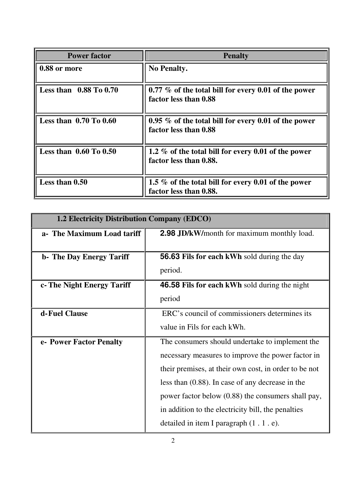| <b>Power factor</b>        | <b>Penalty</b>                                                                   |
|----------------------------|----------------------------------------------------------------------------------|
| 0.88 or more               | <b>No Penalty.</b>                                                               |
| Less than $0.88$ To $0.70$ | 0.77 % of the total bill for every 0.01 of the power<br>factor less than 0.88    |
| Less than $0.70$ To $0.60$ | 0.95 $\%$ of the total bill for every 0.01 of the power<br>factor less than 0.88 |
| Less than $0.60$ To $0.50$ | 1.2 % of the total bill for every 0.01 of the power<br>factor less than 0.88.    |
| Less than 0.50             | 1.5 % of the total bill for every 0.01 of the power<br>factor less than 0.88.    |

| 1.2 Electricity Distribution Company (EDCO) |                                                       |
|---------------------------------------------|-------------------------------------------------------|
| a- The Maximum Load tariff                  | <b>2.98 JD/kW/month for maximum monthly load.</b>     |
|                                             |                                                       |
| <b>b</b> - The Day Energy Tariff            | <b>56.63 Fils for each kWh sold during the day</b>    |
|                                             | period.                                               |
| c- The Night Energy Tariff                  | <b>46.58 Fils for each kWh sold during the night</b>  |
|                                             | period                                                |
| d-Fuel Clause                               | ERC's council of commissioners determines its         |
|                                             | value in Fils for each kWh.                           |
| e- Power Factor Penalty                     | The consumers should undertake to implement the       |
|                                             | necessary measures to improve the power factor in     |
|                                             | their premises, at their own cost, in order to be not |
|                                             | less than $(0.88)$ . In case of any decrease in the   |
|                                             | power factor below (0.88) the consumers shall pay,    |
|                                             | in addition to the electricity bill, the penalties    |
|                                             | detailed in item I paragraph (1.1.e).                 |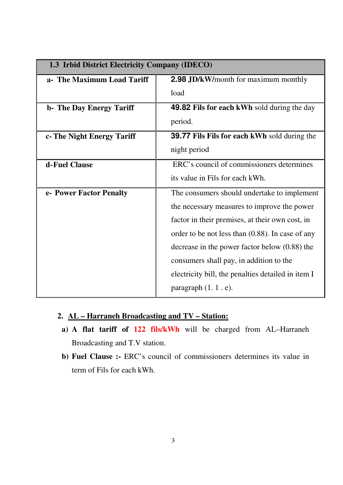| 1.3 Irbid District Electricity Company (IDECO) |                                                     |
|------------------------------------------------|-----------------------------------------------------|
| a- The Maximum Load Tariff                     | <b>2.98 JD/kW/month for maximum monthly</b>         |
|                                                | load                                                |
| <b>b</b> - The Day Energy Tariff               | <b>49.82 Fils for each kWh sold during the day</b>  |
|                                                | period.                                             |
| c- The Night Energy Tariff                     | <b>39.77 Fils Fils for each kWh sold during the</b> |
|                                                | night period                                        |
| d-Fuel Clause                                  | ERC's council of commissioners determines           |
|                                                | its value in Fils for each kWh.                     |
| e- Power Factor Penalty                        | The consumers should undertake to implement         |
|                                                | the necessary measures to improve the power         |
|                                                | factor in their premises, at their own cost, in     |
|                                                | order to be not less than $(0.88)$ . In case of any |
|                                                | decrease in the power factor below $(0.88)$ the     |
|                                                | consumers shall pay, in addition to the             |
|                                                | electricity bill, the penalties detailed in item I  |
|                                                | paragraph $(1, 1, e)$ .                             |

## **2. AL – Harraneh Broadcasting and TV – Station:**

- **a) A flat tariff of 122 fils/kWh** will be charged from AL–Harraneh Broadcasting and T.V station.
- **b) Fuel Clause :-** ERC's council of commissioners determines its value in term of Fils for each kWh.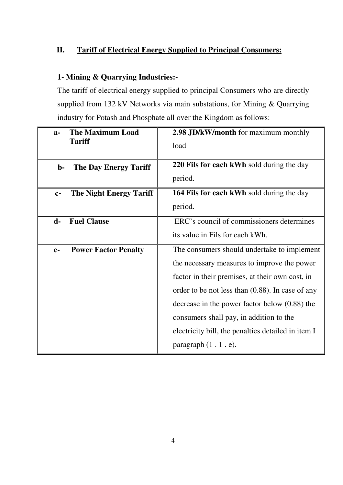## **II. Tariff of Electrical Energy Supplied to Principal Consumers:**

## **1- Mining & Quarrying Industries:-**

The tariff of electrical energy supplied to principal Consumers who are directly supplied from 132 kV Networks via main substations, for Mining & Quarrying industry for Potash and Phosphate all over the Kingdom as follows:

| <b>The Maximum Load</b><br>$a-$<br><b>Tariff</b> | <b>2.98 JD/kW/month</b> for maximum monthly         |
|--------------------------------------------------|-----------------------------------------------------|
|                                                  | load                                                |
| <b>The Day Energy Tariff</b><br>b-               | 220 Fils for each kWh sold during the day           |
|                                                  | period.                                             |
| <b>The Night Energy Tariff</b><br>$C-$           | <b>164 Fils for each kWh sold during the day</b>    |
|                                                  | period.                                             |
| <b>Fuel Clause</b><br>$\mathbf{d}$ -             | ERC's council of commissioners determines           |
|                                                  | its value in Fils for each kWh.                     |
| <b>Power Factor Penalty</b><br>$e-$              | The consumers should undertake to implement         |
|                                                  | the necessary measures to improve the power         |
|                                                  | factor in their premises, at their own cost, in     |
|                                                  | order to be not less than $(0.88)$ . In case of any |
|                                                  | decrease in the power factor below $(0.88)$ the     |
|                                                  | consumers shall pay, in addition to the             |
|                                                  | electricity bill, the penalties detailed in item I  |
|                                                  | paragraph $(1.1.e)$ .                               |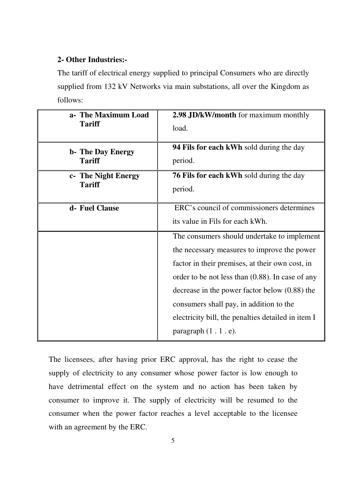#### **2- Other Industries:-**

The tariff of electrical energy supplied to principal Consumers who are directly supplied from 132 kV Networks via main substations, all over the Kingdom as follows:

| a- The Maximum Load      | 2.98 JD/kW/month for maximum monthly                                                                                                                                                                                                                                                                                                                                              |
|--------------------------|-----------------------------------------------------------------------------------------------------------------------------------------------------------------------------------------------------------------------------------------------------------------------------------------------------------------------------------------------------------------------------------|
| <b>Tariff</b>            | load.                                                                                                                                                                                                                                                                                                                                                                             |
| <b>b- The Day Energy</b> | <b>94 Fils for each kWh sold during the day</b>                                                                                                                                                                                                                                                                                                                                   |
| <b>Tariff</b>            | period.                                                                                                                                                                                                                                                                                                                                                                           |
| c- The Night Energy      | <b>76 Fils for each kWh sold during the day</b>                                                                                                                                                                                                                                                                                                                                   |
| <b>Tariff</b>            | period.                                                                                                                                                                                                                                                                                                                                                                           |
| d- Fuel Clause           | ERC's council of commissioners determines<br>its value in Fils for each kWh.                                                                                                                                                                                                                                                                                                      |
|                          | The consumers should undertake to implement<br>the necessary measures to improve the power<br>factor in their premises, at their own cost, in<br>order to be not less than $(0.88)$ . In case of any<br>decrease in the power factor below $(0.88)$ the<br>consumers shall pay, in addition to the<br>electricity bill, the penalties detailed in item I<br>paragraph $(1.1.e)$ . |

The licensees, after having prior ERC approval, has the right to cease the supply of electricity to any consumer whose power factor is low enough to have detrimental effect on the system and no action has been taken by consumer to improve it. The supply of electricity will be resumed to the consumer when the power factor reaches a level acceptable to the licensee with an agreement by the ERC.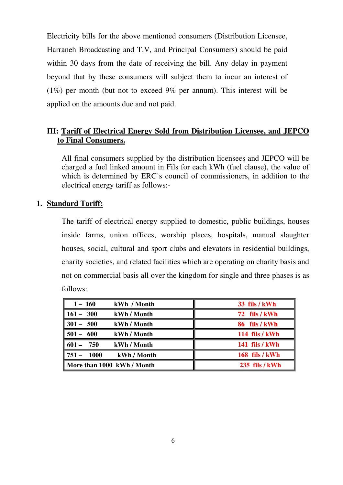Electricity bills for the above mentioned consumers (Distribution Licensee, Harraneh Broadcasting and T.V, and Principal Consumers) should be paid within 30 days from the date of receiving the bill. Any delay in payment beyond that by these consumers will subject them to incur an interest of (1%) per month (but not to exceed 9% per annum). This interest will be applied on the amounts due and not paid.

## Π**I: Tariff of Electrical Energy Sold from Distribution Licensee, and JEPCO to Final Consumers.**

All final consumers supplied by the distribution licensees and JEPCO will be charged a fuel linked amount in Fils for each kWh (fuel clause), the value of which is determined by ERC`s council of commissioners, in addition to the electrical energy tariff as follows:-

## **1. Standard Tariff:**

The tariff of electrical energy supplied to domestic, public buildings, houses inside farms, union offices, worship places, hospitals, manual slaughter houses, social, cultural and sport clubs and elevators in residential buildings, charity societies, and related facilities which are operating on charity basis and not on commercial basis all over the kingdom for single and three phases is as follows:

| $1 - 160$<br>kWh / Month    | 33 fils / kWh         |
|-----------------------------|-----------------------|
| $161 - 300$<br>kWh / Month  | 72 fils / kWh         |
| $301 - 500$<br>kWh / Month  | 86 fils / kWh         |
| $501 - 600$<br>kWh / Month  | <b>114 fils / kWh</b> |
| $601 - 750$<br>kWh / Month  | <b>141 fils / kWh</b> |
| $751 - 1000$<br>kWh / Month | 168 fils / kWh        |
| More than 1000 kWh / Month  | 235 fils / kWh        |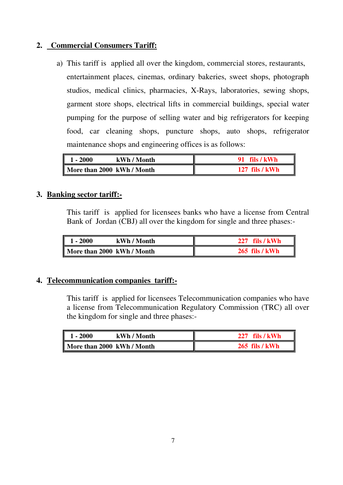## **2. Commercial Consumers Tariff:**

a) This tariff is applied all over the kingdom, commercial stores, restaurants, entertainment places, cinemas, ordinary bakeries, sweet shops, photograph studios, medical clinics, pharmacies, X-Rays, laboratories, sewing shops, garment store shops, electrical lifts in commercial buildings, special water pumping for the purpose of selling water and big refrigerators for keeping food, car cleaning shops, puncture shops, auto shops, refrigerator maintenance shops and engineering offices is as follows:

| $1 - 2000$                 | kWh / Month | 91 fils / kWh    |
|----------------------------|-------------|------------------|
| More than 2000 kWh / Month |             | $127$ fils / kWh |

## **3. Banking sector tariff:-**

This tariff is applied for licensees banks who have a license from Central Bank of Jordan (CBJ) all over the kingdom for single and three phases:-

| ľ<br>$-2000$               | kWh / Month | $227$ fils / kWh      |
|----------------------------|-------------|-----------------------|
| More than 2000 kWh / Month |             | <b>265 fils / kWh</b> |

## **4. Telecommunication companies tariff:-**

This tariff is applied for licensees Telecommunication companies who have a license from Telecommunication Regulatory Commission (TRC) all over the kingdom for single and three phases:-

| $1 - 2000$                 | kWh / Month | fils / kWh     |
|----------------------------|-------------|----------------|
| More than 2000 kWh / Month |             | 265 fils / kWh |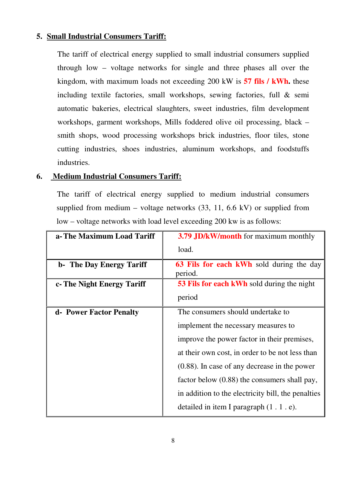#### **5. Small Industrial Consumers Tariff:**

The tariff of electrical energy supplied to small industrial consumers supplied through low – voltage networks for single and three phases all over the kingdom, with maximum loads not exceeding 200 kW is **57 fils / kWh.** these including textile factories, small workshops, sewing factories, full & semi automatic bakeries, electrical slaughters, sweet industries, film development workshops, garment workshops, Mills foddered olive oil processing, black – smith shops, wood processing workshops brick industries, floor tiles, stone cutting industries, shoes industries, aluminum workshops, and foodstuffs industries.

#### **6. Medium Industrial Consumers Tariff:**

The tariff of electrical energy supplied to medium industrial consumers supplied from medium – voltage networks  $(33, 11, 6.6 \text{ kV})$  or supplied from low – voltage networks with load level exceeding 200 kw is as follows:

| a-The Maximum Load Tariff  | <b>3.79 JD/kW/month</b> for maximum monthly          |
|----------------------------|------------------------------------------------------|
|                            | load.                                                |
| b- The Day Energy Tariff   | <b>63 Fils for each kWh</b> sold during the day      |
|                            | period.                                              |
| c- The Night Energy Tariff | <b>53 Fils for each kWh sold during the night</b>    |
|                            | period                                               |
| d- Power Factor Penalty    | The consumers should undertake to                    |
|                            | implement the necessary measures to                  |
|                            | improve the power factor in their premises,          |
|                            | at their own cost, in order to be not less than      |
|                            | $(0.88)$ . In case of any decrease in the power      |
|                            | factor below (0.88) the consumers shall pay,         |
|                            | in addition to the electricity bill, the penalties   |
|                            | detailed in item I paragraph $(1 \cdot 1 \cdot e)$ . |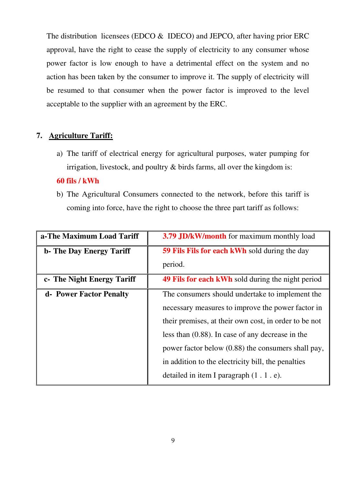The distribution licensees (EDCO & IDECO) and JEPCO, after having prior ERC approval, have the right to cease the supply of electricity to any consumer whose power factor is low enough to have a detrimental effect on the system and no action has been taken by the consumer to improve it. The supply of electricity will be resumed to that consumer when the power factor is improved to the level acceptable to the supplier with an agreement by the ERC.

## **7. Agriculture Tariff:**

a) The tariff of electrical energy for agricultural purposes, water pumping for irrigation, livestock, and poultry  $\&$  birds farms, all over the kingdom is:

## **60 fils / kWh**

b) The Agricultural Consumers connected to the network, before this tariff is coming into force, have the right to choose the three part tariff as follows:

| a-The Maximum Load Tariff        | 3.79 JD/kW/month for maximum monthly load                |
|----------------------------------|----------------------------------------------------------|
| <b>b</b> - The Day Energy Tariff | <b>59 Fils Fils for each kWh</b> sold during the day     |
|                                  | period.                                                  |
| c- The Night Energy Tariff       | <b>49 Fils for each kWh</b> sold during the night period |
| d- Power Factor Penalty          | The consumers should undertake to implement the          |
|                                  | necessary measures to improve the power factor in        |
|                                  | their premises, at their own cost, in order to be not    |
|                                  | less than $(0.88)$ . In case of any decrease in the      |
|                                  | power factor below (0.88) the consumers shall pay,       |
|                                  | in addition to the electricity bill, the penalties       |
|                                  | detailed in item I paragraph $(1 \cdot 1 \cdot e)$ .     |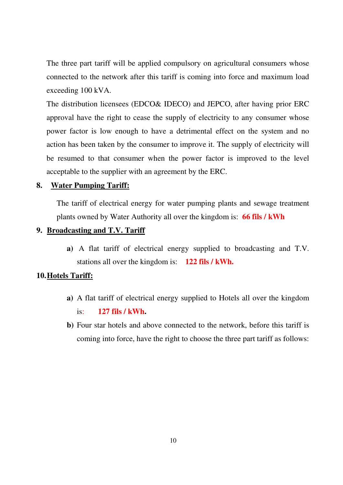The three part tariff will be applied compulsory on agricultural consumers whose connected to the network after this tariff is coming into force and maximum load exceeding 100 kVA.

The distribution licensees (EDCO& IDECO) and JEPCO, after having prior ERC approval have the right to cease the supply of electricity to any consumer whose power factor is low enough to have a detrimental effect on the system and no action has been taken by the consumer to improve it. The supply of electricity will be resumed to that consumer when the power factor is improved to the level acceptable to the supplier with an agreement by the ERC.

#### **8. Water Pumping Tariff:**

The tariff of electrical energy for water pumping plants and sewage treatment plants owned by Water Authority all over the kingdom is: **66 fils / kWh** 

#### **9. Broadcasting and T.V. Tariff**

**a)** A flat tariff of electrical energy supplied to broadcasting and T.V. stations all over the kingdom is: **122 fils / kWh.** 

#### **10.Hotels Tariff:**

- **a)** A flat tariff of electrical energy supplied to Hotels all over the kingdom is: **127 fils / kWh.**
- **b)** Four star hotels and above connected to the network, before this tariff is coming into force, have the right to choose the three part tariff as follows: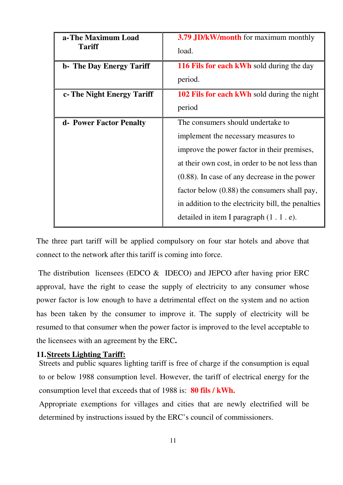| a-The Maximum Load<br><b>Tariff</b> | 3.79 JD/kW/month for maximum monthly<br>load.        |
|-------------------------------------|------------------------------------------------------|
| <b>b</b> - The Day Energy Tariff    | <b>116 Fils for each kWh</b> sold during the day     |
|                                     | period.                                              |
| c- The Night Energy Tariff          | <b>102 Fils for each kWh</b> sold during the night   |
|                                     | period                                               |
| d- Power Factor Penalty             | The consumers should undertake to                    |
|                                     | implement the necessary measures to                  |
|                                     | improve the power factor in their premises,          |
|                                     | at their own cost, in order to be not less than      |
|                                     | $(0.88)$ . In case of any decrease in the power      |
|                                     | factor below (0.88) the consumers shall pay,         |
|                                     | in addition to the electricity bill, the penalties   |
|                                     | detailed in item I paragraph $(1 \cdot 1 \cdot e)$ . |

The three part tariff will be applied compulsory on four star hotels and above that connect to the network after this tariff is coming into force.

The distribution licensees (EDCO  $\&$  IDECO) and JEPCO after having prior ERC approval, have the right to cease the supply of electricity to any consumer whose power factor is low enough to have a detrimental effect on the system and no action has been taken by the consumer to improve it. The supply of electricity will be resumed to that consumer when the power factor is improved to the level acceptable to the licensees with an agreement by the ERC**.** 

#### **11.Streets Lighting Tariff:**

Streets and public squares lighting tariff is free of charge if the consumption is equal to or below 1988 consumption level. However, the tariff of electrical energy for the consumption level that exceeds that of 1988 is: **80 fils / kWh.** 

Appropriate exemptions for villages and cities that are newly electrified will be determined by instructions issued by the ERC's council of commissioners.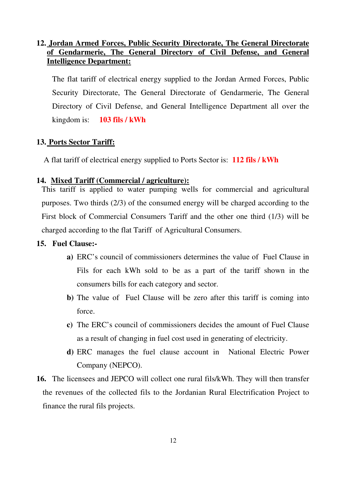## **12. Jordan Armed Forces, Public Security Directorate, The General Directorate of Gendarmerie, The General Directory of Civil Defense, and General Intelligence Department:**

The flat tariff of electrical energy supplied to the Jordan Armed Forces, Public Security Directorate, The General Directorate of Gendarmerie, The General Directory of Civil Defense, and General Intelligence Department all over the kingdom is: **103 fils / kWh** 

## **13. Ports Sector Tariff:**

A flat tariff of electrical energy supplied to Ports Sector is: **112 fils / kWh** 

## **14. Mixed Tariff (Commercial / agriculture):**

This tariff is applied to water pumping wells for commercial and agricultural purposes. Two thirds (2/3) of the consumed energy will be charged according to the First block of Commercial Consumers Tariff and the other one third (1/3) will be charged according to the flat Tariff of Agricultural Consumers.

## **15. Fuel Clause:-**

- **a)** ERC's council of commissioners determines the value of Fuel Clause in Fils for each kWh sold to be as a part of the tariff shown in the consumers bills for each category and sector.
- **b)** The value of Fuel Clause will be zero after this tariff is coming into force.
- **c)** The ERC's council of commissioners decides the amount of Fuel Clause as a result of changing in fuel cost used in generating of electricity.
- **d)** ERC manages the fuel clause account in National Electric Power Company (NEPCO).
- **16.** The licensees and JEPCO will collect one rural fils/kWh. They will then transfer the revenues of the collected fils to the Jordanian Rural Electrification Project to finance the rural fils projects.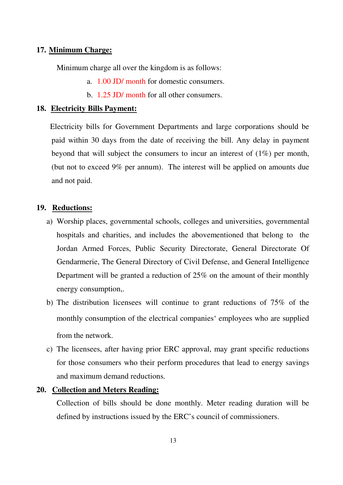#### **17. Minimum Charge:**

Minimum charge all over the kingdom is as follows:

- a. 1.00 JD/ month for domestic consumers.
- b. 1.25 JD/ month for all other consumers.

#### **18. Electricity Bills Payment:**

Electricity bills for Government Departments and large corporations should be paid within 30 days from the date of receiving the bill. Any delay in payment beyond that will subject the consumers to incur an interest of (1%) per month, (but not to exceed 9% per annum). The interest will be applied on amounts due and not paid.

#### **19. Reductions:**

- a) Worship places, governmental schools, colleges and universities, governmental hospitals and charities, and includes the abovementioned that belong to the Jordan Armed Forces, Public Security Directorate, General Directorate Of Gendarmerie, The General Directory of Civil Defense, and General Intelligence Department will be granted a reduction of 25% on the amount of their monthly energy consumption,.
- b) The distribution licensees will continue to grant reductions of 75% of the monthly consumption of the electrical companies' employees who are supplied from the network.
- c) The licensees, after having prior ERC approval, may grant specific reductions for those consumers who their perform procedures that lead to energy savings and maximum demand reductions.

#### **20. Collection and Meters Reading:**

Collection of bills should be done monthly. Meter reading duration will be defined by instructions issued by the ERC's council of commissioners.